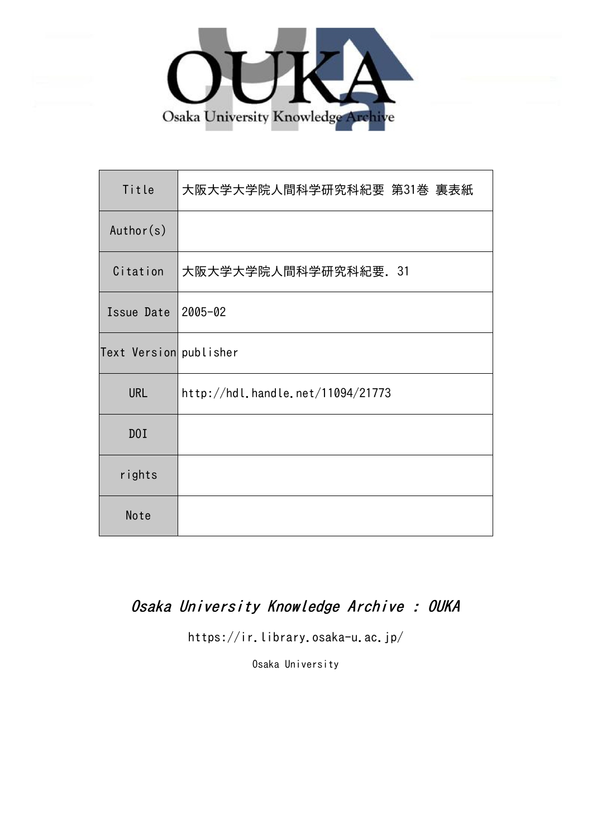

| Title                  | 大阪大学大学院人間科学研究科紀要 第31巻 裏表紙         |
|------------------------|-----------------------------------|
| Author(s)              |                                   |
| Citation               | 大阪大学大学院人間科学研究科紀要. 31              |
| Issue Date             | $2005 - 02$                       |
| Text Version publisher |                                   |
| <b>URL</b>             | http://hdl.handle.net/11094/21773 |
| D0I                    |                                   |
| rights                 |                                   |
| Note                   |                                   |

# Osaka University Knowledge Archive : OUKA

https://ir.library.osaka-u.ac.jp/

Osaka University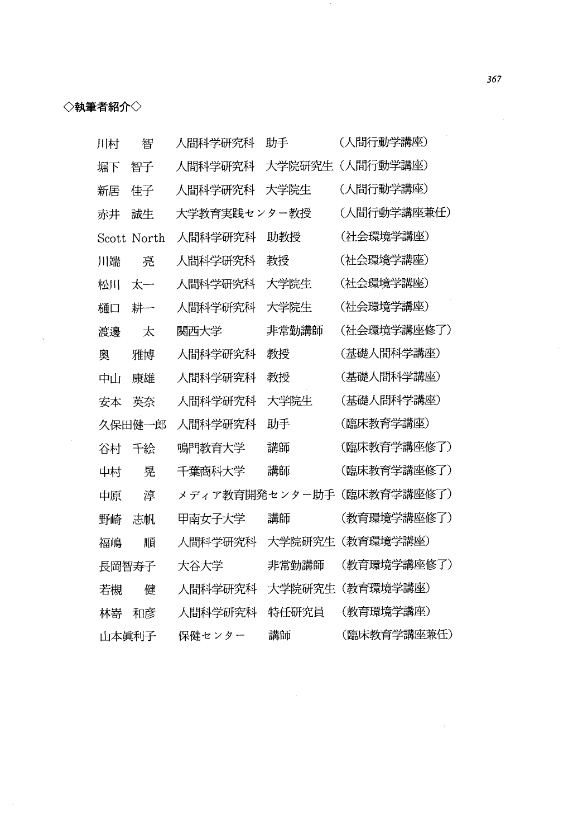## ◇執筆者紹介◇

| 川村    | 智      | 人間科学研究科        | 助手     | (人間行動学講座)   |
|-------|--------|----------------|--------|-------------|
| 堀下    | 智子     | 人間科学研究科        | 大学院研究生 | (人間行動学講座)   |
| 新居    | 佳子     | 人間科学研究科        | 大学院生   | (人間行動学講座)   |
| 赤井    | 誠生     | 大学教育実践センター教授   |        | (人間行動学講座兼任) |
| Scott | North  | 人間科学研究科        | 助教授    | (社会環境学講座)   |
| 川端    | 亮      | 人間科学研究科        | 教授     | (社会環境学講座)   |
| 松川    | 太一     | 人間科学研究科        | 大学院生   | (社会環境学講座)   |
| 樋口    | 耕一     | 人間科学研究科        | 大学院生   | (社会環境学講座)   |
| 渡邊    | 大      | 関西大学           | 非常勤講師  | (社会環境学講座修了) |
| 奥     | 雅博     | 人間科学研究科        | 教授     | (基礎人間科学講座)  |
| ‡⊔i   | 康雄     | 人間科学研究科        | 教授     | (基礎人間科学講座)  |
| 安本    | 英奈     | 人間科学研究科        | 大学院生   | (基礎人間科学講座)  |
|       | 久保田健一郎 | 人間科学研究科        | 助手     | (臨床教育学講座)   |
| 谷村    | 千絵     | 鳴門教育大学         | 講師     | (臨床教育学講座修了) |
| 中村    | 晃      | 千葉商科大学         | 講師     | (臨床教育学講座修了) |
| 中原    | 淳      | メディア教育開発センター助手 |        | (臨床教育学講座修了) |
| 野崎    | 志帆     | 甲南女子大学         | 講師     | (教育環境学講座修了) |
| 福嶋    | 順      | 人間科学研究科        | 大学院研究生 | (教育環境学講座)   |
| 長岡智寿子 |        | 大谷大学           | 非常勤講師  | (教育環境学講座修了) |
| 若槻    | 健      | 人間科学研究科        | 大学院研究生 | (教育環境学講座)   |
| 林嵜    | 和彦     | 人間科学研究科        | 特任研究員  | (教育環境学講座)   |
| 山本眞利子 |        | 保健センター         | 講師     | (臨床教育学講座兼任) |

 $\epsilon$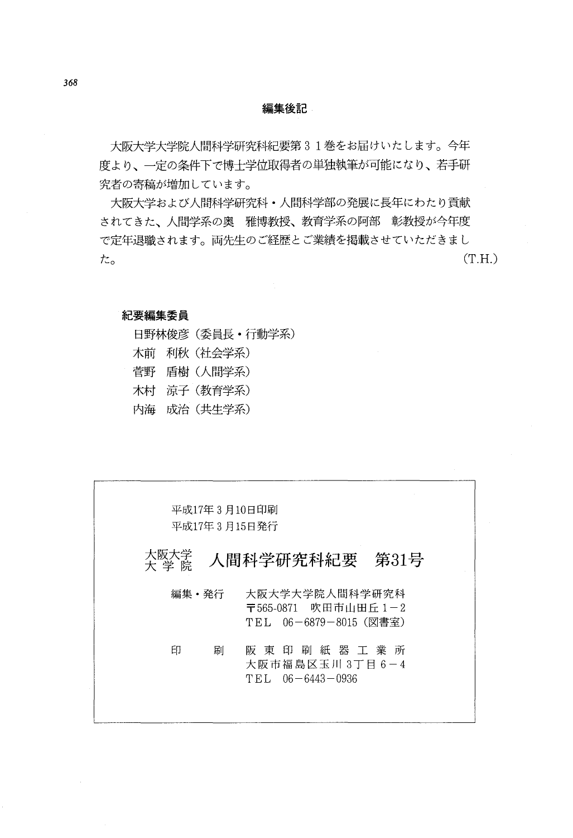## 編集後記

大阪大学大学院人間科学研究科紀要第31巻をお届けいたします。今年 度より、一定の条件下で博士学位取得者の単独執筆が可能になり、若手研 究者の寄稿が増加しています。

大阪大学および人間科学研究科·人間科学部の発展に長年にわたり貢献 されてきた、人間学系の奥 雅博教授、教育学系の阿部 彰教授が今年度 で定年退職されます。両先生のご経歴とご業績を掲載させていただきまし  $(T.H.)$  $tz_{o}$ 

### 紀要編集委員

|  | 日野林俊彦(委員長・行動学系) |
|--|-----------------|
|  | 木前 利秋(社会学系)     |
|  | 菅野 盾樹(人間学系)     |
|  | 木村 凉子 (教育学系)    |
|  | 内海 成治(共生学系)     |

| 平成17年 3 月10日印刷<br>平成17年 3 月15日発行 |                                                                 |
|----------------------------------|-----------------------------------------------------------------|
| 大阪大学<br>大学院                      | - 人間科学研究科紀要 第31号                                                |
| 編集・発行                            | 大阪大学大学院人間科学研究科<br>〒565-0871 吹田市山田丘 1-2<br>TEL 06-6879-8015(図書室) |
| 印<br>刷                           | 阪東印刷紙器工業所<br>大阪市福島区玉川 3丁目 6-4<br>$T.EL$ 06 - 6443 - 0936        |